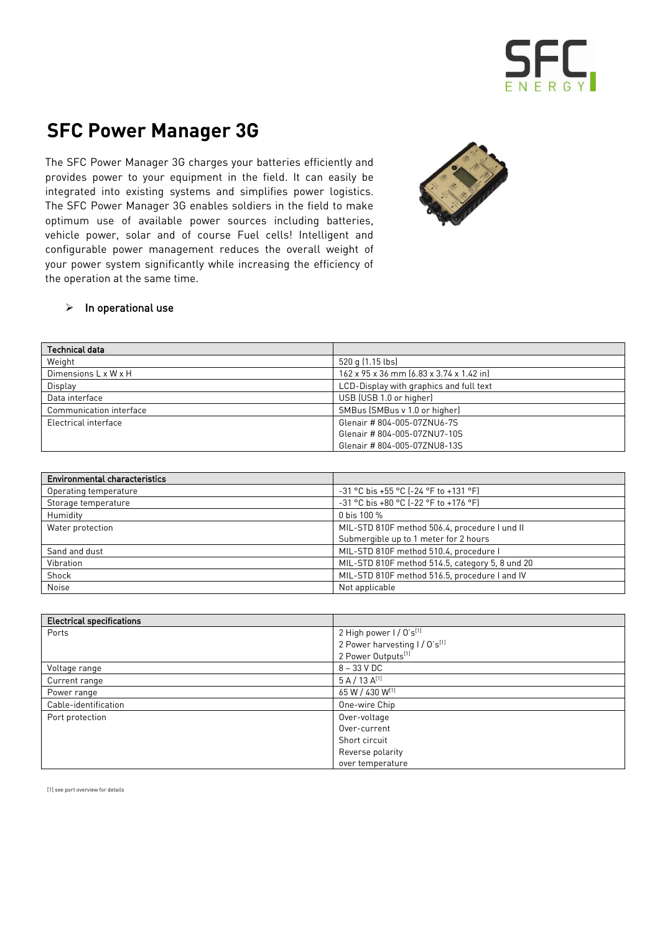## SFC

## **SFC Power Manager 3G**

The SFC Power Manager 3G charges your batteries efficiently and provides power to your equipment in the field. It can easily be integrated into existing systems and simplifies power logistics. The SFC Power Manager 3G enables soldiers in the field to make optimum use of available power sources including batteries, vehicle power, solar and of course Fuel cells! Intelligent and configurable power management reduces the overall weight of your power system significantly while increasing the efficiency of the operation at the same time.



## $\triangleright$  In operational use

| Technical data          |                                          |
|-------------------------|------------------------------------------|
| Weight                  | 520 g (1.15 lbs)                         |
| Dimensions L x W x H    | 162 x 95 x 36 mm (6.83 x 3.74 x 1.42 in) |
| Display                 | LCD-Display with graphics and full text  |
| Data interface          | USB (USB 1.0 or higher)                  |
| Communication interface | SMBus (SMBus v 1.0 or higher)            |
| Electrical interface    | Glenair #804-005-07ZNU6-7S               |
|                         | Glenair #804-005-07ZNU7-10S              |
|                         | Glenair #804-005-07ZNU8-13S              |

| <b>Environmental characteristics</b> |                                                 |
|--------------------------------------|-------------------------------------------------|
| Operating temperature                | $-31$ °C bis +55 °C (-24 °F to +131 °F)         |
| Storage temperature                  | -31 °C bis +80 °C (-22 °F to +176 °F)           |
| Humidity                             | 0 bis 100 %                                     |
| Water protection                     | MIL-STD 810F method 506.4, procedure I und II   |
|                                      | Submergible up to 1 meter for 2 hours           |
| Sand and dust                        | MIL-STD 810F method 510.4, procedure I          |
| Vibration                            | MIL-STD 810F method 514.5, category 5, 8 und 20 |
| Shock                                | MIL-STD 810F method 516.5, procedure I and IV   |
| <b>Noise</b>                         | Not applicable                                  |

| <b>Electrical specifications</b> |                               |  |
|----------------------------------|-------------------------------|--|
| Ports                            | 2 High power I / O's[1]       |  |
|                                  | 2 Power harvesting I / O's[1] |  |
|                                  | 2 Power Outputs[1]            |  |
| Voltage range                    | $8 - 33$ V DC                 |  |
| Current range                    | $5 A / 13 A^{[1]}$            |  |
| Power range                      | 65 W / 430 W[1]               |  |
| Cable-identification             | One-wire Chip                 |  |
| Port protection                  | Over-voltage                  |  |
|                                  | Over-current                  |  |
|                                  | Short circuit                 |  |
|                                  | Reverse polarity              |  |
|                                  | over temperature              |  |

[1] see port overview for details